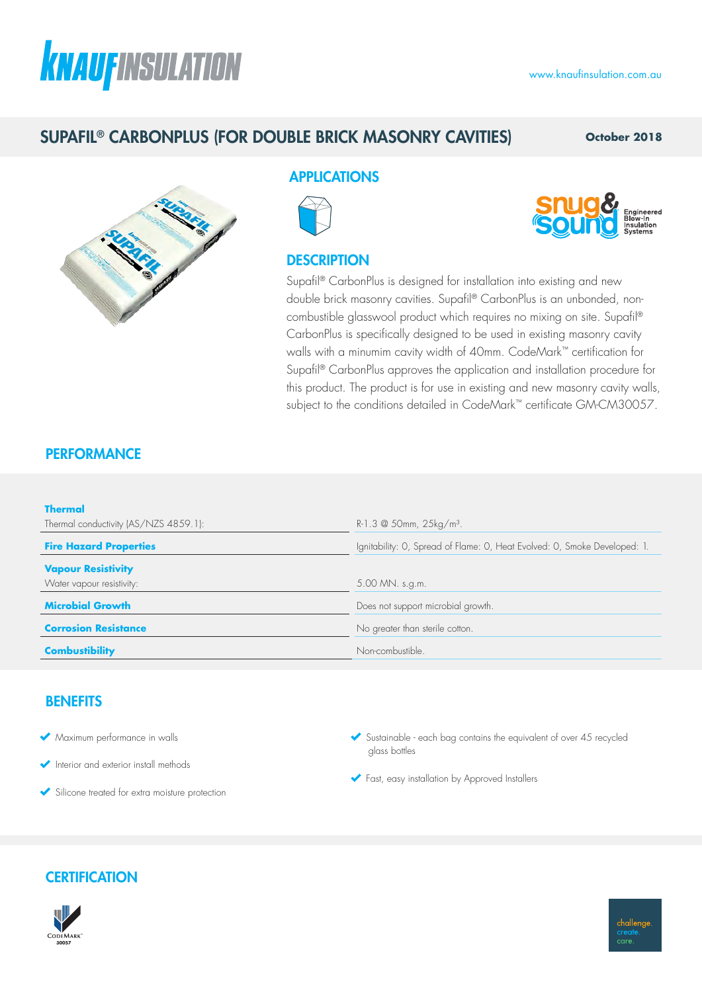# **KNAUFINSULATION**

## SUPAFIL® CARBONPLUS (FOR DOUBLE BRICK MASONRY CAVITIES)

**October 2018**



## APPLICATIONS



## **DESCRIPTION**



Supafil® CarbonPlus is designed for installation into existing and new double brick masonry cavities. Supafil® CarbonPlus is an unbonded, noncombustible glasswool product which requires no mixing on site. Supafil® CarbonPlus is specifically designed to be used in existing masonry cavity walls with a minumim cavity width of 40mm. CodeMark™ certification for Supafil® CarbonPlus approves the application and installation procedure for this product. The product is for use in existing and new masonry cavity walls, subject to the conditions detailed in CodeMark™ certificate GM-CM30057.

## **PERFORMANCE**

| <b>Thermal</b>                        |                                                                           |  |  |
|---------------------------------------|---------------------------------------------------------------------------|--|--|
| Thermal conductivity (AS/NZS 4859.1): | R-1.3 $\omega$ 50mm, 25kg/m <sup>3</sup> .                                |  |  |
| <b>Fire Hazard Properties</b>         | Ignitability: O, Spread of Flame: O, Heat Evolved: O, Smoke Developed: 1. |  |  |
| <b>Vapour Resistivity</b>             |                                                                           |  |  |
| Water vapour resistivity:             | 5.00 MN. s.g.m.                                                           |  |  |
| <b>Microbial Growth</b>               | Does not support microbial growth.                                        |  |  |
| <b>Corrosion Resistance</b>           | No greater than sterile cotton.                                           |  |  |
| <b>Combustibility</b>                 | Non-combustible.                                                          |  |  |

### **BENEFITS**

- Maximum performance in walls
- Interior and exterior install methods
- Silicone treated for extra moisture protection
- Sustainable each bag contains the equivalent of over 45 recycled glass bottles
- Fast, easy installation by Approved Installers

## **CERTIFICATION**

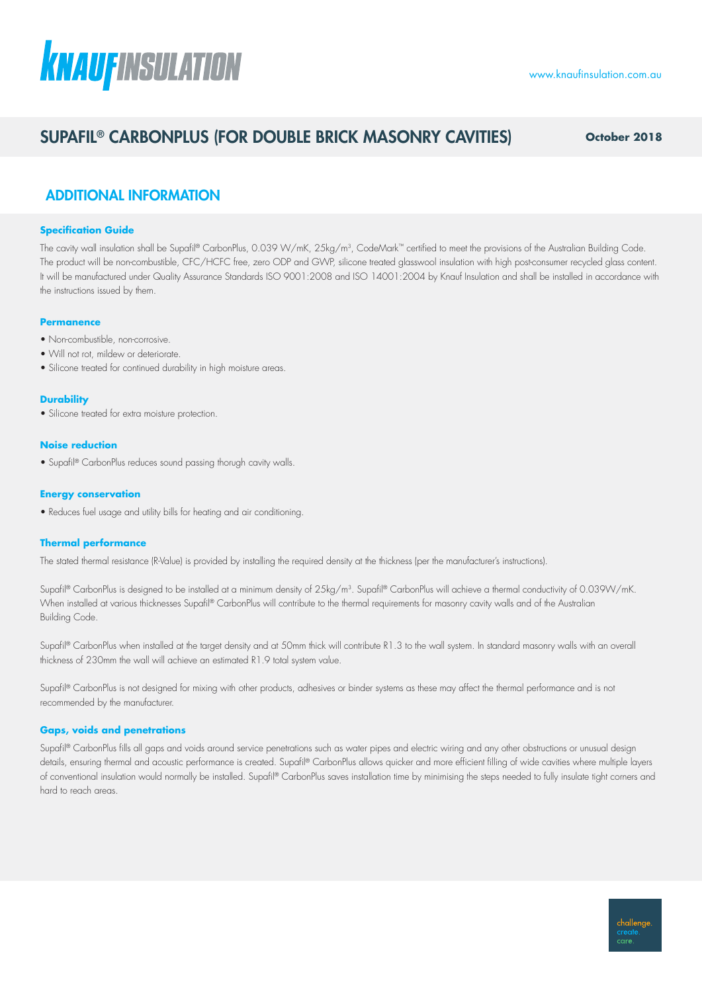# **KNAUFINSULATION**

## SUPAFIL® CARBONPLUS (FOR DOUBLE BRICK MASONRY CAVITIES) **October 2018**

challenge. care

## ADDITIONAL INFORMATION

#### **Specification Guide**

The cavity wall insulation shall be Supafil® CarbonPlus, 0.039 W/mK, 25kg/m<sup>3</sup>, CodeMark™ certified to meet the provisions of the Australian Building Code. The product will be non-combustible, CFC/HCFC free, zero ODP and GWP, silicone treated glasswool insulation with high post-consumer recycled glass content. It will be manufactured under Quality Assurance Standards ISO 9001:2008 and ISO 14001:2004 by Knauf Insulation and shall be installed in accordance with the instructions issued by them.

#### **Permanence**

- Non-combustible, non-corrosive.
- Will not rot, mildew or deteriorate
- Silicone treated for continued durability in high moisture areas.

#### **Durability**

• Silicone treated for extra moisture protection.

#### **Noise reduction**

• Supafil® CarbonPlus reduces sound passing thorugh cavity walls.

#### **Energy conservation**

• Reduces fuel usage and utility bills for heating and air conditioning.

#### **Thermal performance**

The stated thermal resistance (R-Value) is provided by installing the required density at the thickness (per the manufacturer's instructions).

Supafil® CarbonPlus is designed to be installed at a minimum density of 25kg/m<sup>3</sup>. Supafil® CarbonPlus will achieve a thermal conductivity of 0.039W/mK. When installed at various thicknesses Supafil® CarbonPlus will contribute to the thermal requirements for masonry cavity walls and of the Australian Building Code.

Supafil® CarbonPlus when installed at the target density and at 50mm thick will contribute R1.3 to the wall system. In standard masonry walls with an overall thickness of 230mm the wall will achieve an estimated R1.9 total system value.

Supafil® CarbonPlus is not designed for mixing with other products, adhesives or binder systems as these may affect the thermal performance and is not recommended by the manufacturer.

#### **Gaps, voids and penetrations**

Supafil® CarbonPlus fills all gaps and voids around service penetrations such as water pipes and electric wiring and any other obstructions or unusual design details, ensuring thermal and acoustic performance is created. Supafil® CarbonPlus allows quicker and more efficient filling of wide cavities where multiple layers of conventional insulation would normally be installed. Supafil® CarbonPlus saves installation time by minimising the steps needed to fully insulate tight corners and hard to reach areas.